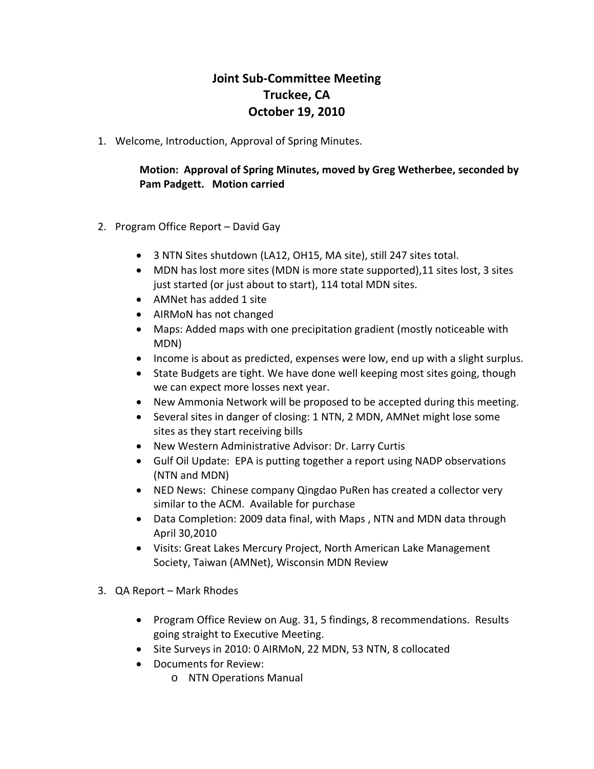# **Joint Sub-Committee Meeting Truckee, CA October 19, 2010**

1. Welcome, Introduction, Approval of Spring Minutes.

### **Motion: Approval of Spring Minutes, moved by Greg Wetherbee, seconded by Pam Padgett. Motion carried**

- 2. Program Office Report David Gay
	- 3 NTN Sites shutdown (LA12, OH15, MA site), still 247 sites total.
	- MDN has lost more sites (MDN is more state supported), 11 sites lost, 3 sites just started (or just about to start), 114 total MDN sites.
	- AMNet has added 1 site
	- AIRMoN has not changed
	- Maps: Added maps with one precipitation gradient (mostly noticeable with MDN)
	- Income is about as predicted, expenses were low, end up with a slight surplus.
	- State Budgets are tight. We have done well keeping most sites going, though we can expect more losses next year.
	- New Ammonia Network will be proposed to be accepted during this meeting.
	- Several sites in danger of closing: 1 NTN, 2 MDN, AMNet might lose some sites as they start receiving bills
	- New Western Administrative Advisor: Dr. Larry Curtis
	- Gulf Oil Update: EPA is putting together a report using NADP observations (NTN and MDN)
	- NED News: Chinese company Qingdao PuRen has created a collector very similar to the ACM. Available for purchase
	- Data Completion: 2009 data final, with Maps, NTN and MDN data through April 30,2010
	- Visits: Great Lakes Mercury Project, North American Lake Management Society, Taiwan (AMNet), Wisconsin MDN Review
- 3. QA Report Mark Rhodes
	- Program Office Review on Aug. 31, 5 findings, 8 recommendations. Results going straight to Executive Meeting.
	- Site Surveys in 2010: 0 AIRMoN, 22 MDN, 53 NTN, 8 collocated
	- Documents for Review:
		- o NTN Operations Manual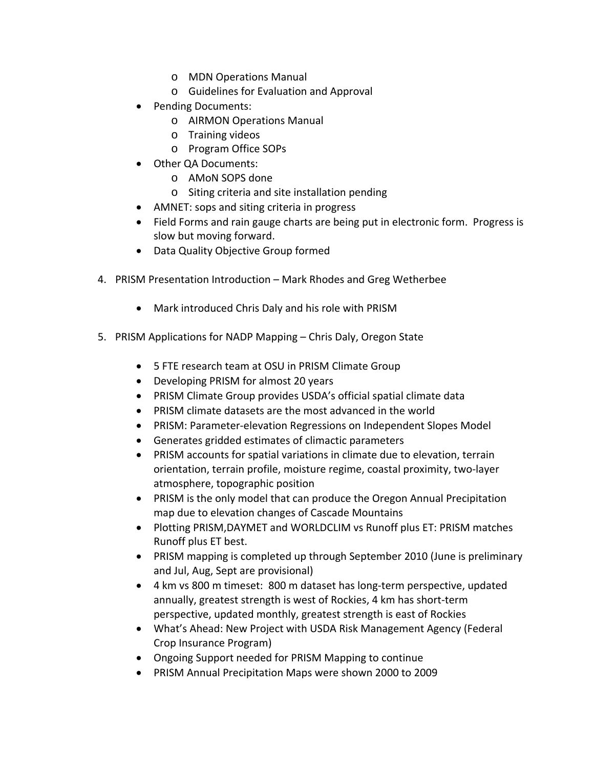- o MDN Operations Manual
- o Guidelines for Evaluation and Approval
- Pending Documents:
	- o AIRMON Operations Manual
	- o Training videos
	- o Program Office SOPs
- Other QA Documents:
	- o AMoN SOPS done
	- o Siting criteria and site installation pending
- AMNET: sops and siting criteria in progress
- Field Forms and rain gauge charts are being put in electronic form. Progress is slow but moving forward.
- Data Quality Objective Group formed
- 4. PRISM Presentation Introduction Mark Rhodes and Greg Wetherbee
	- Mark introduced Chris Daly and his role with PRISM
- 5. PRISM Applications for NADP Mapping Chris Daly, Oregon State
	- 5 FTE research team at OSU in PRISM Climate Group
	- Developing PRISM for almost 20 years
	- PRISM Climate Group provides USDA's official spatial climate data
	- PRISM climate datasets are the most advanced in the world
	- PRISM: Parameter-elevation Regressions on Independent Slopes Model
	- Generates gridded estimates of climactic parameters
	- PRISM accounts for spatial variations in climate due to elevation, terrain orientation, terrain profile, moisture regime, coastal proximity, two-layer atmosphere, topographic position
	- PRISM is the only model that can produce the Oregon Annual Precipitation map due to elevation changes of Cascade Mountains
	- Plotting PRISM,DAYMET and WORLDCLIM vs Runoff plus ET: PRISM matches Runoff plus ET best.
	- PRISM mapping is completed up through September 2010 (June is preliminary and Jul, Aug, Sept are provisional)
	- 4 km vs 800 m timeset: 800 m dataset has long-term perspective, updated annually, greatest strength is west of Rockies, 4 km has short-term perspective, updated monthly, greatest strength is east of Rockies
	- What's Ahead: New Project with USDA Risk Management Agency (Federal Crop Insurance Program)
	- Ongoing Support needed for PRISM Mapping to continue
	- PRISM Annual Precipitation Maps were shown 2000 to 2009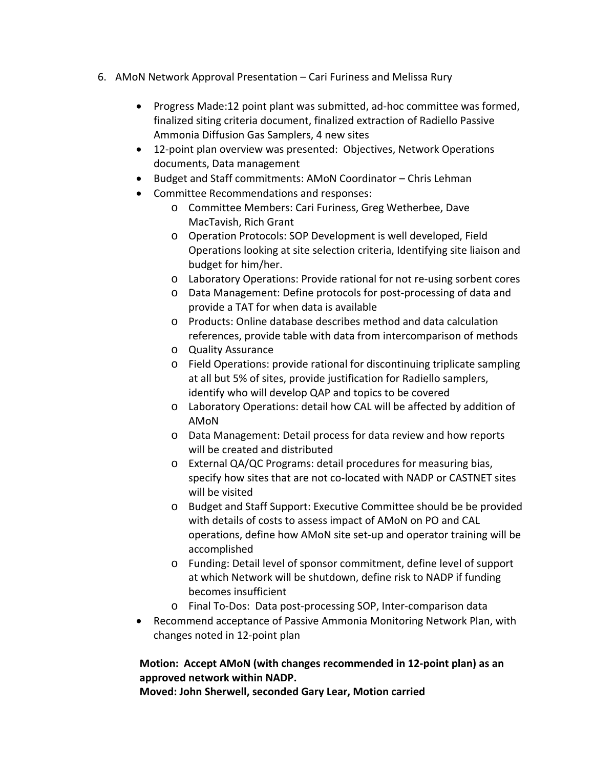- 6. AMoN Network Approval Presentation Cari Furiness and Melissa Rury
	- Progress Made:12 point plant was submitted, ad-hoc committee was formed, finalized siting criteria document, finalized extraction of Radiello Passive Ammonia Diffusion Gas Samplers, 4 new sites
	- 12-point plan overview was presented: Objectives, Network Operations documents, Data management
	- Budget and Staff commitments: AMoN Coordinator Chris Lehman
	- Committee Recommendations and responses:
		- o Committee Members: Cari Furiness, Greg Wetherbee, Dave MacTavish, Rich Grant
		- o Operation Protocols: SOP Development is well developed, Field Operations looking at site selection criteria, Identifying site liaison and budget for him/her.
		- o Laboratory Operations: Provide rational for not re-using sorbent cores
		- o Data Management: Define protocols for post-processing of data and provide a TAT for when data is available
		- o Products: Online database describes method and data calculation references, provide table with data from intercomparison of methods
		- o Quality Assurance
		- o Field Operations: provide rational for discontinuing triplicate sampling at all but 5% of sites, provide justification for Radiello samplers, identify who will develop QAP and topics to be covered
		- o Laboratory Operations: detail how CAL will be affected by addition of AMoN
		- o Data Management: Detail process for data review and how reports will be created and distributed
		- o External QA/QC Programs: detail procedures for measuring bias, specify how sites that are not co-located with NADP or CASTNET sites will be visited
		- o Budget and Staff Support: Executive Committee should be be provided with details of costs to assess impact of AMoN on PO and CAL operations, define how AMoN site set-up and operator training will be accomplished
		- o Funding: Detail level of sponsor commitment, define level of support at which Network will be shutdown, define risk to NADP if funding becomes insufficient
		- o Final To-Dos: Data post-processing SOP, Inter-comparison data
	- Recommend acceptance of Passive Ammonia Monitoring Network Plan, with changes noted in 12-point plan

### **Motion: Accept AMoN (with changes recommended in 12-point plan) as an approved network within NADP.**

**Moved: John Sherwell, seconded Gary Lear, Motion carried**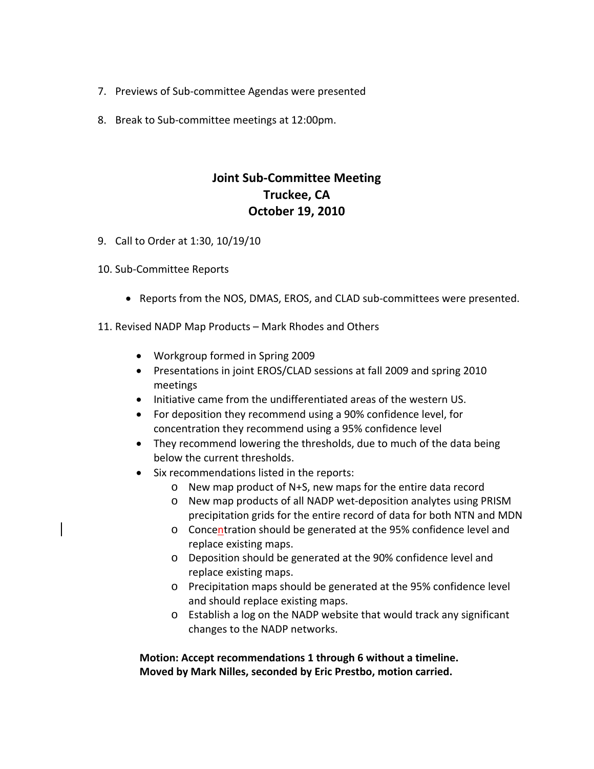- 7. Previews of Sub-committee Agendas were presented
- 8. Break to Sub-committee meetings at 12:00pm.

## **Joint Sub-Committee Meeting Truckee, CA October 19, 2010**

- 9. Call to Order at 1:30, 10/19/10
- 10. Sub-Committee Reports
	- Reports from the NOS, DMAS, EROS, and CLAD sub-committees were presented.
- 11. Revised NADP Map Products Mark Rhodes and Others
	- Workgroup formed in Spring 2009
	- Presentations in joint EROS/CLAD sessions at fall 2009 and spring 2010 meetings
	- Initiative came from the undifferentiated areas of the western US.
	- For deposition they recommend using a 90% confidence level, for concentration they recommend using a 95% confidence level
	- They recommend lowering the thresholds, due to much of the data being below the current thresholds.
	- Six recommendations listed in the reports:
		- o New map product of N+S, new maps for the entire data record
		- o New map products of all NADP wet-deposition analytes using PRISM precipitation grids for the entire record of data for both NTN and MDN
		- o Concentration should be generated at the 95% confidence level and replace existing maps.
		- o Deposition should be generated at the 90% confidence level and replace existing maps.
		- o Precipitation maps should be generated at the 95% confidence level and should replace existing maps.
		- o Establish a log on the NADP website that would track any significant changes to the NADP networks.

**Motion: Accept recommendations 1 through 6 without a timeline. Moved by Mark Nilles, seconded by Eric Prestbo, motion carried.**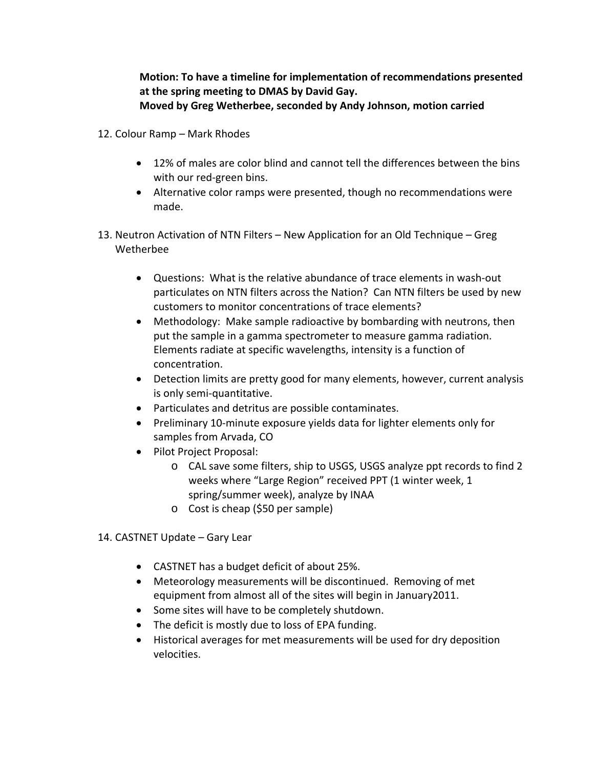**Motion: To have a timeline for implementation of recommendations presented at the spring meeting to DMAS by David Gay. Moved by Greg Wetherbee, seconded by Andy Johnson, motion carried**

- 12. Colour Ramp Mark Rhodes
	- 12% of males are color blind and cannot tell the differences between the bins with our red-green bins.
	- Alternative color ramps were presented, though no recommendations were made.
- 13. Neutron Activation of NTN Filters New Application for an Old Technique Greg Wetherbee
	- Questions: What is the relative abundance of trace elements in wash-out particulates on NTN filters across the Nation? Can NTN filters be used by new customers to monitor concentrations of trace elements?
	- Methodology: Make sample radioactive by bombarding with neutrons, then put the sample in a gamma spectrometer to measure gamma radiation. Elements radiate at specific wavelengths, intensity is a function of concentration.
	- Detection limits are pretty good for many elements, however, current analysis is only semi-quantitative.
	- Particulates and detritus are possible contaminates.
	- Preliminary 10-minute exposure yields data for lighter elements only for samples from Arvada, CO
	- Pilot Project Proposal:
		- o CAL save some filters, ship to USGS, USGS analyze ppt records to find 2 weeks where "Large Region" received PPT (1 winter week, 1 spring/summer week), analyze by INAA
		- o Cost is cheap (\$50 per sample)
- 14. CASTNET Update Gary Lear
	- CASTNET has a budget deficit of about 25%.
	- Meteorology measurements will be discontinued. Removing of met equipment from almost all of the sites will begin in January2011.
	- Some sites will have to be completely shutdown.
	- The deficit is mostly due to loss of EPA funding.
	- Historical averages for met measurements will be used for dry deposition velocities.